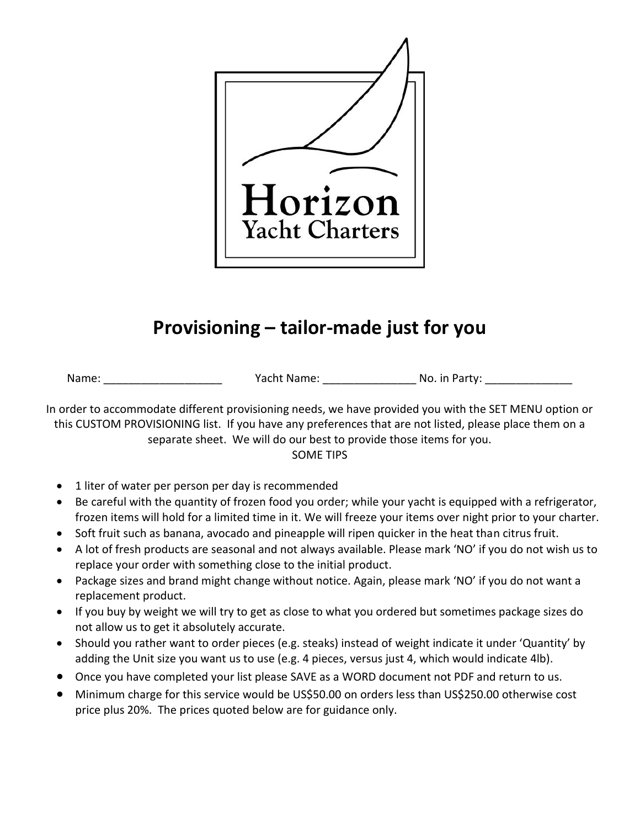

## **Provisioning – tailor-made just for you**

Name: \_\_\_\_\_\_\_\_\_\_\_\_\_\_\_\_\_\_\_ Yacht Name: \_\_\_\_\_\_\_\_\_\_\_\_\_\_\_ No. in Party: \_\_\_\_\_\_\_\_\_\_\_\_\_\_

In order to accommodate different provisioning needs, we have provided you with the SET MENU option or this CUSTOM PROVISIONING list. If you have any preferences that are not listed, please place them on a separate sheet. We will do our best to provide those items for you. SOME TIPS

- 1 liter of water per person per day is recommended
- Be careful with the quantity of frozen food you order; while your yacht is equipped with a refrigerator, frozen items will hold for a limited time in it. We will freeze your items over night prior to your charter.
- Soft fruit such as banana, avocado and pineapple will ripen quicker in the heat than citrus fruit.
- A lot of fresh products are seasonal and not always available. Please mark 'NO' if you do not wish us to replace your order with something close to the initial product.
- Package sizes and brand might change without notice. Again, please mark 'NO' if you do not want a replacement product.
- If you buy by weight we will try to get as close to what you ordered but sometimes package sizes do not allow us to get it absolutely accurate.
- Should you rather want to order pieces (e.g. steaks) instead of weight indicate it under 'Quantity' by adding the Unit size you want us to use (e.g. 4 pieces, versus just 4, which would indicate 4lb).
- Once you have completed your list please SAVE as a WORD document not PDF and return to us.
- Minimum charge for this service would be US\$50.00 on orders less than US\$250.00 otherwise cost price plus 20%. The prices quoted below are for guidance only.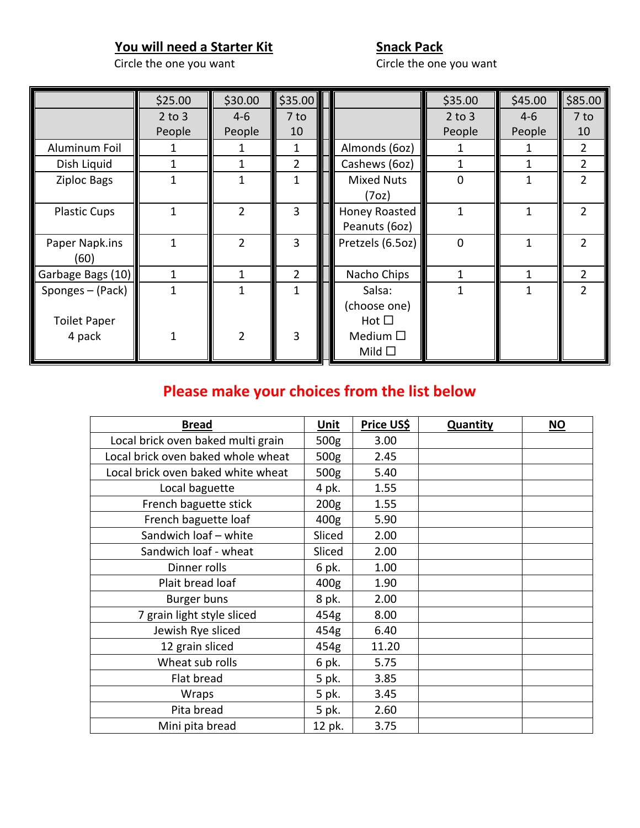## **You will need a Starter Kit Snack Pack**

Circle the one you want

|                     | \$25.00    | \$30.00        | \$35.00 |                   | \$35.00        | \$45.00 | \$85.00        |
|---------------------|------------|----------------|---------|-------------------|----------------|---------|----------------|
|                     | $2$ to $3$ | $4 - 6$        | 7 to    |                   | $2$ to $3$     | $4-6$   | 7 to           |
|                     | People     | People         | 10      |                   | People         | People  | 10             |
| Aluminum Foil       |            |                | 1       | Almonds (6oz)     |                |         | $\overline{2}$ |
| Dish Liquid         |            |                | 2       | Cashews (6oz)     |                | 1       | $\overline{2}$ |
| <b>Ziploc Bags</b>  | 1          |                | 1       | <b>Mixed Nuts</b> | $\Omega$       | 1       | $\overline{2}$ |
|                     |            |                |         | (7oz)             |                |         |                |
| <b>Plastic Cups</b> | 1          | 2              | 3       | Honey Roasted     |                | 1       | $\overline{2}$ |
|                     |            |                |         | Peanuts (6oz)     |                |         |                |
| Paper Napk.ins      | 1          | $\mathfrak{D}$ | 3       | Pretzels (6.5oz)  | $\overline{0}$ | 1       | $\mathcal{P}$  |
| (60)                |            |                |         |                   |                |         |                |
| Garbage Bags (10)   | 1          |                | 2       | Nacho Chips       |                | 1       | $\overline{2}$ |
| Sponges - (Pack)    | 1          |                | 1       | Salsa:            |                | 1       | $\overline{2}$ |
|                     |            |                |         | (choose one)      |                |         |                |
| <b>Toilet Paper</b> |            |                |         | $Hot \Box$        |                |         |                |
| 4 pack              |            | $\mathfrak{p}$ | 3       | Medium $\square$  |                |         |                |
|                     |            |                |         | Mild $\square$    |                |         |                |

## **Please make your choices from the list below**

| <b>Bread</b>                       | Unit             | Price US\$ | <b>Quantity</b> | $\underline{\mathsf{NO}}$ |
|------------------------------------|------------------|------------|-----------------|---------------------------|
| Local brick oven baked multi grain | 500 <sub>g</sub> | 3.00       |                 |                           |
| Local brick oven baked whole wheat | 500g             | 2.45       |                 |                           |
| Local brick oven baked white wheat | 500 <sub>g</sub> | 5.40       |                 |                           |
| Local baguette                     | 4 pk.            | 1.55       |                 |                           |
| French baguette stick              | 200 <sub>g</sub> | 1.55       |                 |                           |
| French baguette loaf               | 400g             | 5.90       |                 |                           |
| Sandwich loaf - white              | Sliced           | 2.00       |                 |                           |
| Sandwich loaf - wheat              | Sliced           | 2.00       |                 |                           |
| Dinner rolls                       | 6 pk.            | 1.00       |                 |                           |
| Plait bread loaf                   | 400g             | 1.90       |                 |                           |
| Burger buns                        | 8 pk.            | 2.00       |                 |                           |
| 7 grain light style sliced         | 454g             | 8.00       |                 |                           |
| Jewish Rye sliced                  | 454g             | 6.40       |                 |                           |
| 12 grain sliced                    | 454g             | 11.20      |                 |                           |
| Wheat sub rolls                    | 6 pk.            | 5.75       |                 |                           |
| Flat bread                         | 5 pk.            | 3.85       |                 |                           |
| Wraps                              | 5 pk.            | 3.45       |                 |                           |
| Pita bread                         | 5 pk.            | 2.60       |                 |                           |
| Mini pita bread                    | 12 pk.           | 3.75       |                 |                           |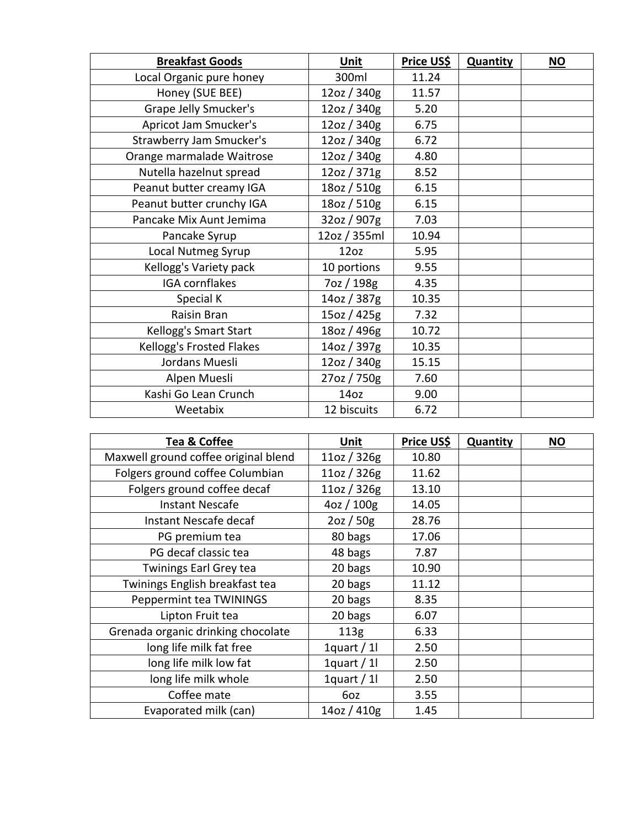| <b>Breakfast Goods</b>    | <b>Unit</b>      | Price US\$ | <b>Quantity</b> | $NO$ |
|---------------------------|------------------|------------|-----------------|------|
| Local Organic pure honey  | 300ml            | 11.24      |                 |      |
| Honey (SUE BEE)           | 12oz / 340g      | 11.57      |                 |      |
| Grape Jelly Smucker's     | 12oz / 340g      | 5.20       |                 |      |
| Apricot Jam Smucker's     | 12oz / 340g      | 6.75       |                 |      |
| Strawberry Jam Smucker's  | 12oz / 340g      | 6.72       |                 |      |
| Orange marmalade Waitrose | 12oz / 340g      | 4.80       |                 |      |
| Nutella hazelnut spread   | 12oz / 371g      | 8.52       |                 |      |
| Peanut butter creamy IGA  | 18oz / 510g      | 6.15       |                 |      |
| Peanut butter crunchy IGA | 18oz / 510g      | 6.15       |                 |      |
| Pancake Mix Aunt Jemima   | 32oz / 907g      | 7.03       |                 |      |
| Pancake Syrup             | 12oz / 355ml     | 10.94      |                 |      |
| Local Nutmeg Syrup        | 12oz             | 5.95       |                 |      |
| Kellogg's Variety pack    | 10 portions      | 9.55       |                 |      |
| IGA cornflakes            | 7oz / 198g       | 4.35       |                 |      |
| Special K                 | 14oz / 387g      | 10.35      |                 |      |
| Raisin Bran               | 15oz / 425g      | 7.32       |                 |      |
| Kellogg's Smart Start     | 18oz / 496g      | 10.72      |                 |      |
| Kellogg's Frosted Flakes  | 14oz / 397g      | 10.35      |                 |      |
| Jordans Muesli            | 12oz / 340g      | 15.15      |                 |      |
| Alpen Muesli              | 27oz / 750g      | 7.60       |                 |      |
| Kashi Go Lean Crunch      | 14 <sub>oz</sub> | 9.00       |                 |      |
| Weetabix                  | 12 biscuits      | 6.72       |                 |      |

| <b>Tea &amp; Coffee</b>              | Unit         | Price US\$ | Quantity | <b>NO</b> |
|--------------------------------------|--------------|------------|----------|-----------|
| Maxwell ground coffee original blend | 11oz / 326g  | 10.80      |          |           |
| Folgers ground coffee Columbian      | 11oz / 326g  | 11.62      |          |           |
| Folgers ground coffee decaf          | 11oz / 326g  | 13.10      |          |           |
| <b>Instant Nescafe</b>               | 4oz / 100g   | 14.05      |          |           |
| Instant Nescafe decaf                | 2oz / 50g    | 28.76      |          |           |
| PG premium tea                       | 80 bags      | 17.06      |          |           |
| PG decaf classic tea                 | 48 bags      | 7.87       |          |           |
| <b>Twinings Earl Grey tea</b>        | 20 bags      | 10.90      |          |           |
| Twinings English breakfast tea       | 20 bags      | 11.12      |          |           |
| Peppermint tea TWININGS              | 20 bags      | 8.35       |          |           |
| Lipton Fruit tea                     | 20 bags      | 6.07       |          |           |
| Grenada organic drinking chocolate   | 113g         | 6.33       |          |           |
| long life milk fat free              | 1quart $/$ 1 | 2.50       |          |           |
| long life milk low fat               | 1quart / $1$ | 2.50       |          |           |
| long life milk whole                 | 1quart / $1$ | 2.50       |          |           |
| Coffee mate                          | 6oz          | 3.55       |          |           |
| Evaporated milk (can)                | 14oz / 410g  | 1.45       |          |           |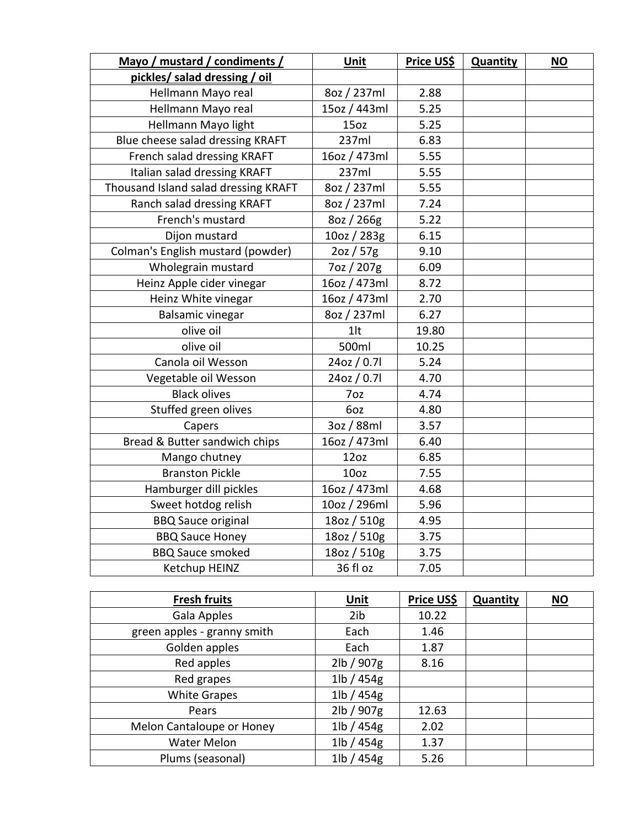| Mayo / mustard / condiments /        | Unit         | <b>Price US\$</b> | Quantity | <b>NO</b> |
|--------------------------------------|--------------|-------------------|----------|-----------|
| pickles/ salad dressing / oil        |              |                   |          |           |
| Hellmann Mayo real                   | 8oz / 237ml  | 2.88              |          |           |
| Hellmann Mayo real                   | 15oz / 443ml | 5.25              |          |           |
| Hellmann Mayo light                  | 15oz         | 5.25              |          |           |
| Blue cheese salad dressing KRAFT     | 237ml        | 6.83              |          |           |
| French salad dressing KRAFT          | 16oz / 473ml | 5.55              |          |           |
| Italian salad dressing KRAFT         | 237ml        | 5.55              |          |           |
| Thousand Island salad dressing KRAFT | 8oz / 237ml  | 5.55              |          |           |
| Ranch salad dressing KRAFT           | 8oz / 237ml  | 7.24              |          |           |
| French's mustard                     | 8oz / 266g   | 5.22              |          |           |
| Dijon mustard                        | 10oz / 283g  | 6.15              |          |           |
| Colman's English mustard (powder)    | 2oz / 57g    | 9.10              |          |           |
| Wholegrain mustard                   | 7oz / 207g   | 6.09              |          |           |
| Heinz Apple cider vinegar            | 16oz / 473ml | 8.72              |          |           |
| Heinz White vinegar                  | 16oz / 473ml | 2.70              |          |           |
| <b>Balsamic vinegar</b>              | 8oz / 237ml  | 6.27              |          |           |
| olive oil                            | $1$ lt       | 19.80             |          |           |
| olive oil                            | 500ml        | 10.25             |          |           |
| Canola oil Wesson                    | 24oz / 0.71  | 5.24              |          |           |
| Vegetable oil Wesson                 | 24oz / 0.7l  | 4.70              |          |           |
| <b>Black olives</b>                  | 7oz          | 4.74              |          |           |
| Stuffed green olives                 | 6oz          | 4.80              |          |           |
| Capers                               | 3oz / 88ml   | 3.57              |          |           |
| Bread & Butter sandwich chips        | 16oz / 473ml | 6.40              |          |           |
| Mango chutney                        | 12oz         | 6.85              |          |           |
| <b>Branston Pickle</b>               | 10oz         | 7.55              |          |           |
| Hamburger dill pickles               | 16oz / 473ml | 4.68              |          |           |
| Sweet hotdog relish                  | 10oz / 296ml | 5.96              |          |           |
| <b>BBQ Sauce original</b>            | 18oz / 510g  | 4.95              |          |           |
| <b>BBQ Sauce Honey</b>               | 18oz / 510g  | 3.75              |          |           |
| <b>BBQ Sauce smoked</b>              | 18oz / 510g  | 3.75              |          |           |
| Ketchup HEINZ                        | 36 fl oz     | 7.05              |          |           |

| <b>Fresh fruits</b>         | <b>Unit</b>   | Price US\$ | <b>Quantity</b> | $\underline{\mathsf{NO}}$ |
|-----------------------------|---------------|------------|-----------------|---------------------------|
| Gala Apples                 | 2ib           | 10.22      |                 |                           |
| green apples - granny smith | Each          | 1.46       |                 |                           |
| Golden apples               | Each          | 1.87       |                 |                           |
| Red apples                  | 2lb / 907g    | 8.16       |                 |                           |
| Red grapes                  | $1$ lb / 454g |            |                 |                           |
| <b>White Grapes</b>         | 1lb / 454g    |            |                 |                           |
| Pears                       | 2lb / 907g    | 12.63      |                 |                           |
| Melon Cantaloupe or Honey   | $1$ lb / 454g | 2.02       |                 |                           |
| <b>Water Melon</b>          | $1$ lb / 454g | 1.37       |                 |                           |
| Plums (seasonal)            | $1$ lb / 454g | 5.26       |                 |                           |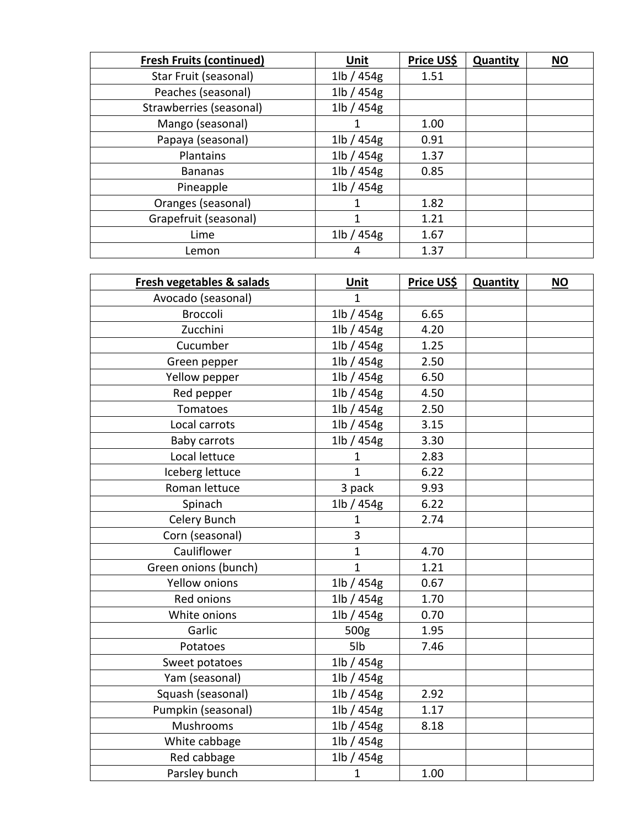| <b>Fresh Fruits (continued)</b> | <b>Unit</b>             | Price US\$ | <b>Quantity</b> | $NO$ |
|---------------------------------|-------------------------|------------|-----------------|------|
| Star Fruit (seasonal)           | $1\vert b \rangle$ 454g | 1.51       |                 |      |
| Peaches (seasonal)              | $1$ lb / 454g           |            |                 |      |
| Strawberries (seasonal)         | $1$ lb / 454g           |            |                 |      |
| Mango (seasonal)                |                         | 1.00       |                 |      |
| Papaya (seasonal)               | $1$ lb / 454g           | 0.91       |                 |      |
| Plantains                       | $1$ lb / 454g           | 1.37       |                 |      |
| <b>Bananas</b>                  | $1$ lb / 454g           | 0.85       |                 |      |
| Pineapple                       | $1\vert b \rangle$ 454g |            |                 |      |
| Oranges (seasonal)              |                         | 1.82       |                 |      |
| Grapefruit (seasonal)           |                         | 1.21       |                 |      |
| Lime                            | $1$ lb / 454g           | 1.67       |                 |      |
| Lemon                           | 4                       | 1.37       |                 |      |

| Fresh vegetables & salads | <b>Unit</b>   | <u>Price US\$</u> | <b>Quantity</b> | <b>NO</b> |
|---------------------------|---------------|-------------------|-----------------|-----------|
| Avocado (seasonal)        | $\mathbf{1}$  |                   |                 |           |
| Broccoli                  | $1$ lb / 454g | 6.65              |                 |           |
| Zucchini                  | $1$ lb / 454g | 4.20              |                 |           |
| Cucumber                  | $1$ lb / 454g | 1.25              |                 |           |
| Green pepper              | $1$ lb / 454g | 2.50              |                 |           |
| Yellow pepper             | $1$ lb / 454g | 6.50              |                 |           |
| Red pepper                | $1$ lb / 454g | 4.50              |                 |           |
| Tomatoes                  | 1lb / 454g    | 2.50              |                 |           |
| Local carrots             | 1lb / 454g    | 3.15              |                 |           |
| <b>Baby carrots</b>       | 1lb / 454g    | 3.30              |                 |           |
| Local lettuce             | 1             | 2.83              |                 |           |
| Iceberg lettuce           | 1             | 6.22              |                 |           |
| Roman lettuce             | 3 pack        | 9.93              |                 |           |
| Spinach                   | 1lb / 454g    | 6.22              |                 |           |
| Celery Bunch              | $\mathbf{1}$  | 2.74              |                 |           |
| Corn (seasonal)           | 3             |                   |                 |           |
| Cauliflower               | $\mathbf{1}$  | 4.70              |                 |           |
| Green onions (bunch)      | $\mathbf{1}$  | 1.21              |                 |           |
| <b>Yellow onions</b>      | 1lb / 454g    | 0.67              |                 |           |
| Red onions                | 1lb / 454g    | 1.70              |                 |           |
| White onions              | $1$ lb / 454g | 0.70              |                 |           |
| Garlic                    | 500g          | 1.95              |                 |           |
| Potatoes                  | 5lb           | 7.46              |                 |           |
| Sweet potatoes            | 1lb / 454g    |                   |                 |           |
| Yam (seasonal)            | $1$ lb / 454g |                   |                 |           |
| Squash (seasonal)         | 1lb / 454g    | 2.92              |                 |           |
| Pumpkin (seasonal)        | 1lb / 454g    | 1.17              |                 |           |
| Mushrooms                 | 1lb / 454g    | 8.18              |                 |           |
| White cabbage             | $1$ lb / 454g |                   |                 |           |
| Red cabbage               | 1lb / 454g    |                   |                 |           |
| Parsley bunch             | $\mathbf{1}$  | 1.00              |                 |           |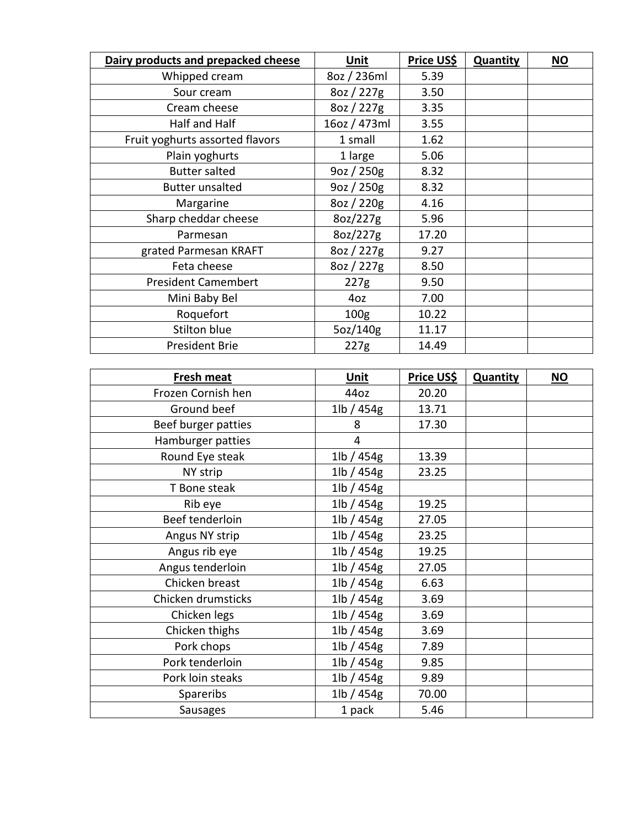| Dairy products and prepacked cheese | Unit             | Price US\$ | <b>Quantity</b> | <b>NO</b> |
|-------------------------------------|------------------|------------|-----------------|-----------|
| Whipped cream                       | 8oz / 236ml      | 5.39       |                 |           |
| Sour cream                          | 8oz / 227g       | 3.50       |                 |           |
| Cream cheese                        | 8oz / 227g       | 3.35       |                 |           |
| Half and Half                       | 16oz / 473ml     | 3.55       |                 |           |
| Fruit yoghurts assorted flavors     | 1 small          | 1.62       |                 |           |
| Plain yoghurts                      | 1 large          | 5.06       |                 |           |
| <b>Butter salted</b>                | 9oz / 250g       | 8.32       |                 |           |
| <b>Butter unsalted</b>              | $9$ oz / 250 $g$ | 8.32       |                 |           |
| Margarine                           | 8oz / 220g       | 4.16       |                 |           |
| Sharp cheddar cheese                | 8oz/227g         | 5.96       |                 |           |
| Parmesan                            | 8oz/227g         | 17.20      |                 |           |
| grated Parmesan KRAFT               | 8oz / 227g       | 9.27       |                 |           |
| Feta cheese                         | 8oz / 227g       | 8.50       |                 |           |
| <b>President Camembert</b>          | 227g             | 9.50       |                 |           |
| Mini Baby Bel                       | 4oz              | 7.00       |                 |           |
| Roquefort                           | 100 <sub>g</sub> | 10.22      |                 |           |
| Stilton blue                        | 5oz/140g         | 11.17      |                 |           |
| <b>President Brie</b>               | 227g             | 14.49      |                 |           |

| Fresh meat          | Unit             | <u>Price US\$</u> | <b>Quantity</b> | <u>NO</u> |
|---------------------|------------------|-------------------|-----------------|-----------|
| Frozen Cornish hen  | 44oz             | 20.20             |                 |           |
| Ground beef         | $1$ lb / 454g    | 13.71             |                 |           |
| Beef burger patties | 8                | 17.30             |                 |           |
| Hamburger patties   | 4                |                   |                 |           |
| Round Eye steak     | $1$ lb / 454g    | 13.39             |                 |           |
| NY strip            | $1$ lb / 454g    | 23.25             |                 |           |
| T Bone steak        | $1$ lb / 454g    |                   |                 |           |
| Rib eye             | $1$ lb / 454g    | 19.25             |                 |           |
| Beef tenderloin     | 1lb / 454g       | 27.05             |                 |           |
| Angus NY strip      | $1$ lb / 454g    | 23.25             |                 |           |
| Angus rib eye       | $1$ lb / 454 $g$ | 19.25             |                 |           |
| Angus tenderloin    | $1$ lb / 454g    | 27.05             |                 |           |
| Chicken breast      | $1$ lb / 454g    | 6.63              |                 |           |
| Chicken drumsticks  | $1$ lb / 454g    | 3.69              |                 |           |
| Chicken legs        | $1$ lb / 454 $g$ | 3.69              |                 |           |
| Chicken thighs      | $1$ lb / 454g    | 3.69              |                 |           |
| Pork chops          | $1$ lb / 454g    | 7.89              |                 |           |
| Pork tenderloin     | $1$ lb / 454g    | 9.85              |                 |           |
| Pork loin steaks    | 1lb / 454g       | 9.89              |                 |           |
| Spareribs           | $1$ lb / 454g    | 70.00             |                 |           |
| <b>Sausages</b>     | 1 pack           | 5.46              |                 |           |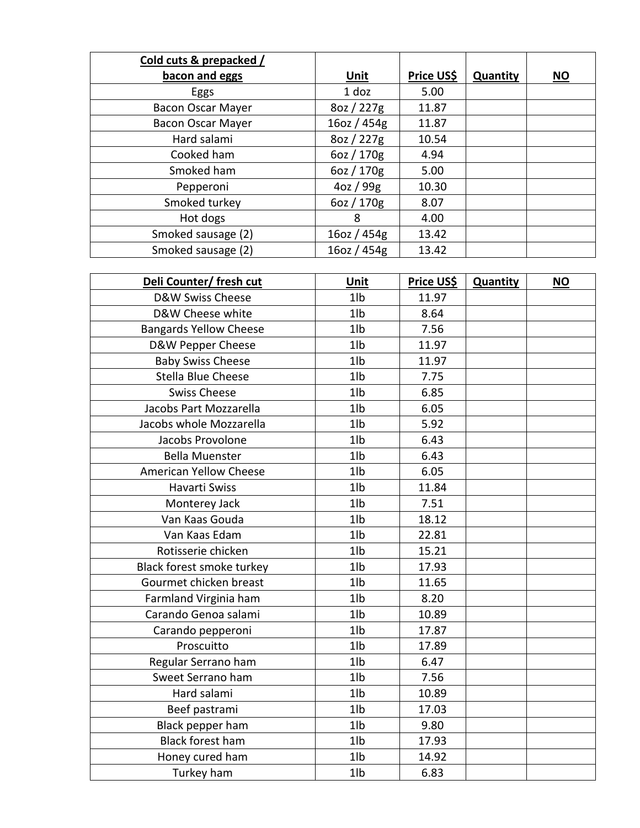| Cold cuts & prepacked /  |                |                   |                 |                           |
|--------------------------|----------------|-------------------|-----------------|---------------------------|
| bacon and eggs           | <u>Unit</u>    | <b>Price US\$</b> | <b>Quantity</b> | $\underline{\mathsf{NO}}$ |
| Eggs                     | $1$ doz        | 5.00              |                 |                           |
| <b>Bacon Oscar Mayer</b> | 8oz / 227g     | 11.87             |                 |                           |
| <b>Bacon Oscar Mayer</b> | $16$ oz / 454g | 11.87             |                 |                           |
| Hard salami              | 8oz / 227g     | 10.54             |                 |                           |
| Cooked ham               | 6oz / 170g     | 4.94              |                 |                           |
| Smoked ham               | 6oz / 170g     | 5.00              |                 |                           |
| Pepperoni                | 4oz / 99g      | 10.30             |                 |                           |
| Smoked turkey            | 6oz / 170g     | 8.07              |                 |                           |
| Hot dogs                 | 8              | 4.00              |                 |                           |
| Smoked sausage (2)       | $16$ oz / 454g | 13.42             |                 |                           |
| Smoked sausage (2)       | 16oz / 454g    | 13.42             |                 |                           |

| Deli Counter/ fresh cut       | Unit           | Price US\$ | Quantity | <b>NO</b> |
|-------------------------------|----------------|------------|----------|-----------|
| D&W Swiss Cheese              | 1 <sub>1</sub> | 11.97      |          |           |
| D&W Cheese white              | 1 <sub>1</sub> | 8.64       |          |           |
| <b>Bangards Yellow Cheese</b> | 1 <sub>1</sub> | 7.56       |          |           |
| D&W Pepper Cheese             | 1 <sub>1</sub> | 11.97      |          |           |
| <b>Baby Swiss Cheese</b>      | 1 <sub>1</sub> | 11.97      |          |           |
| <b>Stella Blue Cheese</b>     | 1 <sub>1</sub> | 7.75       |          |           |
| <b>Swiss Cheese</b>           | 1 <sub>1</sub> | 6.85       |          |           |
| Jacobs Part Mozzarella        | 1 <sub>1</sub> | 6.05       |          |           |
| Jacobs whole Mozzarella       | 1 <sub>1</sub> | 5.92       |          |           |
| Jacobs Provolone              | 1 <sub>1</sub> | 6.43       |          |           |
| <b>Bella Muenster</b>         | 1 <sub>1</sub> | 6.43       |          |           |
| <b>American Yellow Cheese</b> | 1 <sub>1</sub> | 6.05       |          |           |
| Havarti Swiss                 | 1 <sub>1</sub> | 11.84      |          |           |
| Monterey Jack                 | 1 <sub>1</sub> | 7.51       |          |           |
| Van Kaas Gouda                | 1 <sub>1</sub> | 18.12      |          |           |
| Van Kaas Edam                 | 1 <sub>1</sub> | 22.81      |          |           |
| Rotisserie chicken            | 1 <sub>1</sub> | 15.21      |          |           |
| Black forest smoke turkey     | 1 <sub>1</sub> | 17.93      |          |           |
| Gourmet chicken breast        | 1 <sub>1</sub> | 11.65      |          |           |
| Farmland Virginia ham         | 1 <sub>1</sub> | 8.20       |          |           |
| Carando Genoa salami          | 1 <sub>1</sub> | 10.89      |          |           |
| Carando pepperoni             | 1 <sub>1</sub> | 17.87      |          |           |
| Proscuitto                    | 1 <sub>1</sub> | 17.89      |          |           |
| Regular Serrano ham           | 1 <sub>1</sub> | 6.47       |          |           |
| Sweet Serrano ham             | 1 <sub>1</sub> | 7.56       |          |           |
| Hard salami                   | 1 <sub>1</sub> | 10.89      |          |           |
| Beef pastrami                 | 1 <sub>1</sub> | 17.03      |          |           |
| Black pepper ham              | 1 <sub>1</sub> | 9.80       |          |           |
| <b>Black forest ham</b>       | 1 <sub>1</sub> | 17.93      |          |           |
| Honey cured ham               | 1 <sub>1</sub> | 14.92      |          |           |
| Turkey ham                    | 1 <sub>1</sub> | 6.83       |          |           |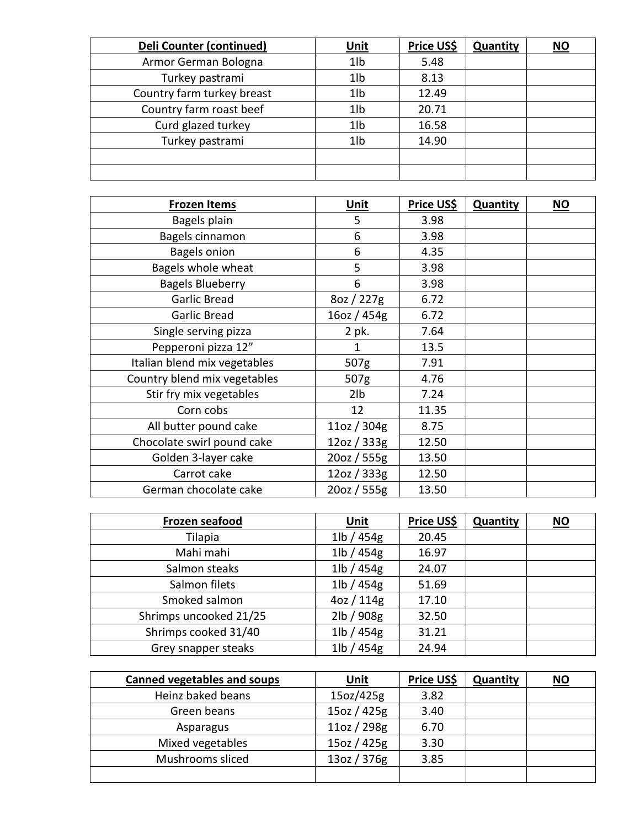| Deli Counter (continued)   | <u>Unit</u>     | Price US\$ | <b>Quantity</b> | $\underline{\mathsf{NO}}$ |
|----------------------------|-----------------|------------|-----------------|---------------------------|
| Armor German Bologna       | 1 <sub>1</sub>  | 5.48       |                 |                           |
| Turkey pastrami            | 1 <sub>1</sub>  | 8.13       |                 |                           |
| Country farm turkey breast | 1 <sub>1</sub>  | 12.49      |                 |                           |
| Country farm roast beef    | 1 <sub>lb</sub> | 20.71      |                 |                           |
| Curd glazed turkey         | 1 <sub>1</sub>  | 16.58      |                 |                           |
| Turkey pastrami            | 1 <sub>1</sub>  | 14.90      |                 |                           |
|                            |                 |            |                 |                           |
|                            |                 |            |                 |                           |

| <b>Frozen Items</b>          | <b>Unit</b> | Price US\$ | <b>Quantity</b> | $NO$ |
|------------------------------|-------------|------------|-----------------|------|
| Bagels plain                 | 5           | 3.98       |                 |      |
| Bagels cinnamon              | 6           | 3.98       |                 |      |
| <b>Bagels onion</b>          | 6           | 4.35       |                 |      |
| Bagels whole wheat           | 5           | 3.98       |                 |      |
| <b>Bagels Blueberry</b>      | 6           | 3.98       |                 |      |
| <b>Garlic Bread</b>          | 8oz / 227g  | 6.72       |                 |      |
| <b>Garlic Bread</b>          | 16oz / 454g | 6.72       |                 |      |
| Single serving pizza         | 2 pk.       | 7.64       |                 |      |
| Pepperoni pizza 12"          | 1           | 13.5       |                 |      |
| Italian blend mix vegetables | 507g        | 7.91       |                 |      |
| Country blend mix vegetables | 507g        | 4.76       |                 |      |
| Stir fry mix vegetables      | 2lb         | 7.24       |                 |      |
| Corn cobs                    | 12          | 11.35      |                 |      |
| All butter pound cake        | 11oz / 304g | 8.75       |                 |      |
| Chocolate swirl pound cake   | 12oz / 333g | 12.50      |                 |      |
| Golden 3-layer cake          | 20oz / 555g | 13.50      |                 |      |
| Carrot cake                  | 12oz / 333g | 12.50      |                 |      |
| German chocolate cake        | 20oz / 555g | 13.50      |                 |      |

| Frozen seafood         | <u>Unit</u>   | <b>Price US\$</b> | <b>Quantity</b> | $\underline{\mathsf{NO}}$ |
|------------------------|---------------|-------------------|-----------------|---------------------------|
| Tilapia                | $1$ lb / 454g | 20.45             |                 |                           |
| Mahi mahi              | $1$ lb / 454g | 16.97             |                 |                           |
| Salmon steaks          | $1$ lb / 454g | 24.07             |                 |                           |
| Salmon filets          | $1$ lb / 454g | 51.69             |                 |                           |
| Smoked salmon          | 4oz / 114g    | 17.10             |                 |                           |
| Shrimps uncooked 21/25 | 2lb / 908g    | 32.50             |                 |                           |
| Shrimps cooked 31/40   | 1lb / 454g    | 31.21             |                 |                           |
| Grey snapper steaks    | 1lb / 454g    | 24.94             |                 |                           |

| <b>Canned vegetables and soups</b> | <u>Unit</u> | <b>Price US\$</b> | <b>Quantity</b> | <u>NO</u> |
|------------------------------------|-------------|-------------------|-----------------|-----------|
| Heinz baked beans                  | 15oz/425g   | 3.82              |                 |           |
| Green beans                        | 15oz / 425g | 3.40              |                 |           |
| Asparagus                          | 11oz / 298g | 6.70              |                 |           |
| Mixed vegetables                   | 15oz / 425g | 3.30              |                 |           |
| Mushrooms sliced                   | 13oz / 376g | 3.85              |                 |           |
|                                    |             |                   |                 |           |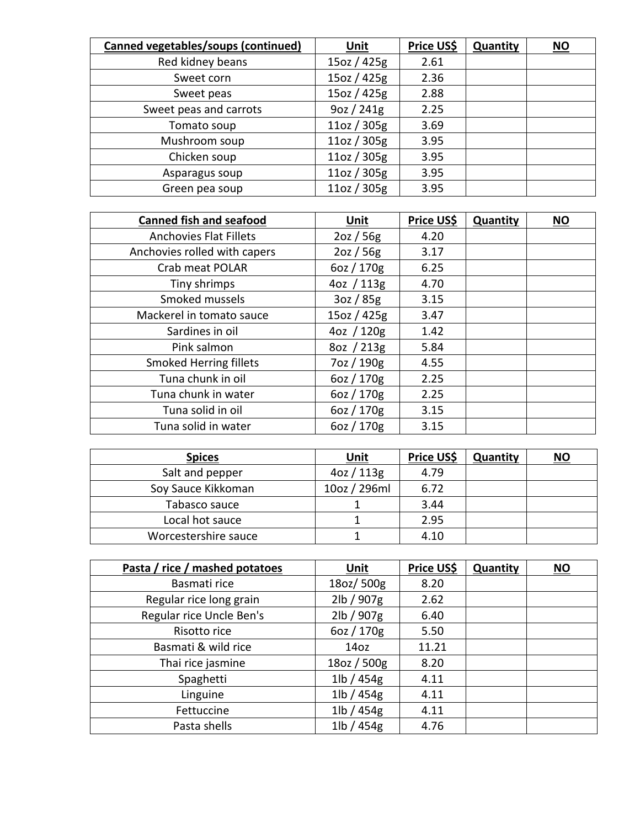| <b>Canned vegetables/soups (continued)</b> | <b>Unit</b>      | Price US\$ | <b>Quantity</b> | $\underline{\mathsf{NO}}$ |
|--------------------------------------------|------------------|------------|-----------------|---------------------------|
| Red kidney beans                           | 15oz / 425g      | 2.61       |                 |                           |
| Sweet corn                                 | 15oz / 425g      | 2.36       |                 |                           |
| Sweet peas                                 | 15oz / 425g      | 2.88       |                 |                           |
| Sweet peas and carrots                     | $9$ oz / 241 $g$ | 2.25       |                 |                           |
| Tomato soup                                | 11oz / 305g      | 3.69       |                 |                           |
| Mushroom soup                              | 11oz / 305g      | 3.95       |                 |                           |
| Chicken soup                               | 11oz / 305g      | 3.95       |                 |                           |
| Asparagus soup                             | 11oz / 305g      | 3.95       |                 |                           |
| Green pea soup                             | 11oz / 305g      | 3.95       |                 |                           |

| <b>Canned fish and seafood</b> | <b>Unit</b> | Price US\$ | <b>Quantity</b> | $NO$ |
|--------------------------------|-------------|------------|-----------------|------|
| <b>Anchovies Flat Fillets</b>  | 2oz / 56g   | 4.20       |                 |      |
| Anchovies rolled with capers   | 2oz / 56g   | 3.17       |                 |      |
| Crab meat POLAR                | 6oz / 170g  | 6.25       |                 |      |
| Tiny shrimps                   | 4oz / 113g  | 4.70       |                 |      |
| Smoked mussels                 | 3oz / 85g   | 3.15       |                 |      |
| Mackerel in tomato sauce       | 15oz / 425g | 3.47       |                 |      |
| Sardines in oil                | 4oz / 120g  | 1.42       |                 |      |
| Pink salmon                    | 8oz / 213g  | 5.84       |                 |      |
| <b>Smoked Herring fillets</b>  | 7oz / 190g  | 4.55       |                 |      |
| Tuna chunk in oil              | 6oz / 170g  | 2.25       |                 |      |
| Tuna chunk in water            | 6oz / 170g  | 2.25       |                 |      |
| Tuna solid in oil              | 6oz / 170g  | 3.15       |                 |      |
| Tuna solid in water            | 6oz / 170g  | 3.15       |                 |      |

| <b>Spices</b>        | <u>Unit</u>   | <b>Price US\$</b> | <b>Quantity</b> | $NO$ |
|----------------------|---------------|-------------------|-----------------|------|
| Salt and pepper      | $4$ oz / 113g | 4.79              |                 |      |
| Soy Sauce Kikkoman   | 10oz / 296ml  | 6.72              |                 |      |
| Tabasco sauce        |               | 3.44              |                 |      |
| Local hot sauce      |               | 2.95              |                 |      |
| Worcestershire sauce |               | 4.10              |                 |      |

| Pasta / rice / mashed potatoes | <b>Unit</b>             | Price US\$ | <b>Quantity</b> | $\underline{\mathsf{NO}}$ |
|--------------------------------|-------------------------|------------|-----------------|---------------------------|
| Basmati rice                   | 18oz/500g               | 8.20       |                 |                           |
| Regular rice long grain        | 2lb / 907g              | 2.62       |                 |                           |
| Regular rice Uncle Ben's       | 2lb / 907g              | 6.40       |                 |                           |
| Risotto rice                   | 6oz / 170g              | 5.50       |                 |                           |
| Basmati & wild rice            | 14 <sub>oz</sub>        | 11.21      |                 |                           |
| Thai rice jasmine              | 18oz / 500g             | 8.20       |                 |                           |
| Spaghetti                      | $1\vert b \rangle$ 454g | 4.11       |                 |                           |
| Linguine                       | $1\vert b \rangle$ 454g | 4.11       |                 |                           |
| Fettuccine                     | $1\vert b \rangle$ 454g | 4.11       |                 |                           |
| Pasta shells                   | $1$ lb / 454g           | 4.76       |                 |                           |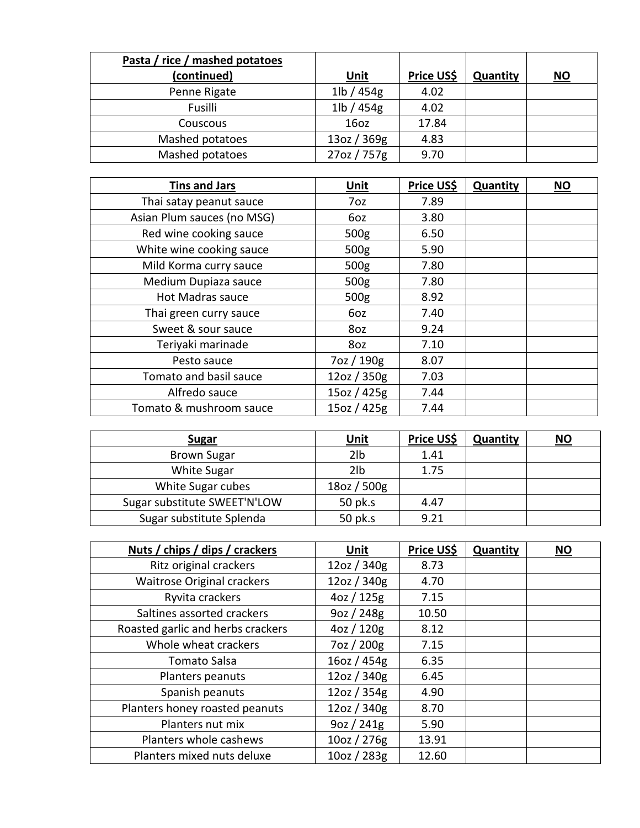| Pasta / rice / mashed potatoes |                         |                   |                 |           |
|--------------------------------|-------------------------|-------------------|-----------------|-----------|
| (continued)                    | <u>Unit</u>             | <b>Price US\$</b> | <b>Quantity</b> | <u>NO</u> |
| Penne Rigate                   | $1\vert b \rangle$ 454g | 4.02              |                 |           |
| Fusilli                        | $1$ lb / 454 $g$        | 4.02              |                 |           |
| Couscous                       | 160z                    | 17.84             |                 |           |
| Mashed potatoes                | 13oz / 369g             | 4.83              |                 |           |
| Mashed potatoes                | 27oz / 757g             | 9.70              |                 |           |

| <b>Tins and Jars</b>       | <b>Unit</b>      | Price US\$ | <b>Quantity</b> | $NO$ |
|----------------------------|------------------|------------|-----------------|------|
| Thai satay peanut sauce    | 7oz              | 7.89       |                 |      |
| Asian Plum sauces (no MSG) | 6oz              | 3.80       |                 |      |
| Red wine cooking sauce     | 500 <sub>g</sub> | 6.50       |                 |      |
| White wine cooking sauce   | 500 <sub>g</sub> | 5.90       |                 |      |
| Mild Korma curry sauce     | 500 <sub>g</sub> | 7.80       |                 |      |
| Medium Dupiaza sauce       | 500 <sub>g</sub> | 7.80       |                 |      |
| Hot Madras sauce           | 500g             | 8.92       |                 |      |
| Thai green curry sauce     | 6oz              | 7.40       |                 |      |
| Sweet & sour sauce         | 8oz              | 9.24       |                 |      |
| Teriyaki marinade          | 8oz              | 7.10       |                 |      |
| Pesto sauce                | 7oz / 190g       | 8.07       |                 |      |
| Tomato and basil sauce     | 12oz / 350g      | 7.03       |                 |      |
| Alfredo sauce              | 15oz / 425g      | 7.44       |                 |      |
| Tomato & mushroom sauce    | 15oz / 425g      | 7.44       |                 |      |

| <b>Sugar</b>                 | <u>Unit</u>     | <b>Price US\$</b> | <b>Quantity</b> | <b>NO</b> |
|------------------------------|-----------------|-------------------|-----------------|-----------|
| <b>Brown Sugar</b>           | 2 <sub>1b</sub> | 1.41              |                 |           |
| <b>White Sugar</b>           | 2 <sub>1b</sub> | 1.75              |                 |           |
| White Sugar cubes            | $18$ oz / 500g  |                   |                 |           |
| Sugar substitute SWEET'N'LOW | 50 pk.s         | 4.47              |                 |           |
| Sugar substitute Splenda     | 50 pk.s         | 9.21              |                 |           |

| Nuts / chips / dips / crackers    | Unit        | Price US\$ | Quantity | <b>NO</b> |
|-----------------------------------|-------------|------------|----------|-----------|
| Ritz original crackers            | 12oz / 340g | 8.73       |          |           |
| <b>Waitrose Original crackers</b> | 12oz / 340g | 4.70       |          |           |
| Ryvita crackers                   | 4oz / 125g  | 7.15       |          |           |
| Saltines assorted crackers        | 9oz / 248g  | 10.50      |          |           |
| Roasted garlic and herbs crackers | 4oz / 120g  | 8.12       |          |           |
| Whole wheat crackers              | 7oz / 200g  | 7.15       |          |           |
| Tomato Salsa                      | 16oz / 454g | 6.35       |          |           |
| Planters peanuts                  | 12oz / 340g | 6.45       |          |           |
| Spanish peanuts                   | 12oz / 354g | 4.90       |          |           |
| Planters honey roasted peanuts    | 12oz / 340g | 8.70       |          |           |
| Planters nut mix                  | 9oz / 241g  | 5.90       |          |           |
| Planters whole cashews            | 10oz / 276g | 13.91      |          |           |
| Planters mixed nuts deluxe        | 10oz / 283g | 12.60      |          |           |